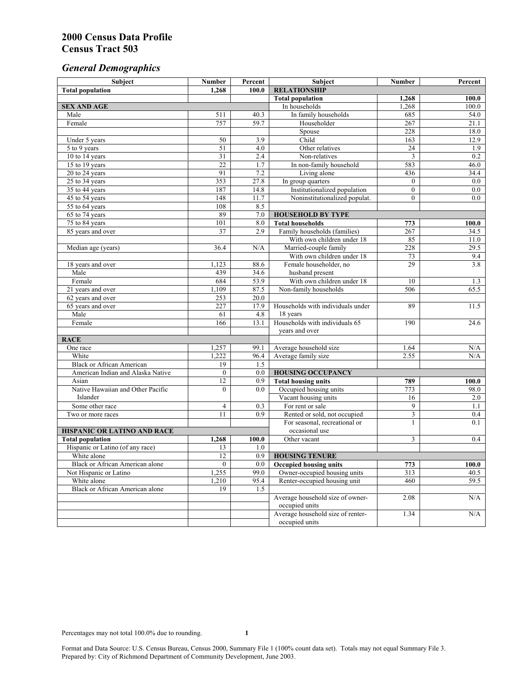# *General Demographics*

| Subject                                | <b>Number</b>    | Percent          | Subject                           | <b>Number</b>   | Percent |
|----------------------------------------|------------------|------------------|-----------------------------------|-----------------|---------|
| <b>Total population</b>                | 1,268            | 100.0            | <b>RELATIONSHIP</b>               |                 |         |
|                                        |                  |                  | <b>Total population</b>           | 1,268           | 100.0   |
| <b>SEX AND AGE</b>                     |                  |                  | In households                     | 1,268           | 100.0   |
| Male                                   | 511              | 40.3             | In family households              | 685             | 54.0    |
| Female                                 | 757              | 59.7             | Householder                       | 267             | 21.1    |
|                                        |                  |                  | Spouse                            | 228             | 18.0    |
| Under 5 years                          | 50               | 3.9              | Child                             | 163             | 12.9    |
| 5 to 9 years                           | 51               | $\overline{4.0}$ | Other relatives                   | $\overline{24}$ | 1.9     |
| 10 to 14 years                         | 31               | 2.4              | Non-relatives                     | 3               | 0.2     |
| 15 to 19 years                         | $\overline{22}$  | 1.7              | In non-family household           | 583             | 46.0    |
| 20 to 24 years                         | 91               | 7.2              | Living alone                      | 436             | 34.4    |
| 25 to 34 years                         | 353              | 27.8             | In group quarters                 | $\overline{0}$  | $0.0\,$ |
| 35 to 44 years                         | 187              | 14.8             | Institutionalized population      | $\overline{0}$  | 0.0     |
| 45 to 54 years                         | 148              | 11.7             | Noninstitutionalized populat.     | $\overline{0}$  | 0.0     |
| 55 to 64 years                         | 108              | 8.5              |                                   |                 |         |
| 65 to 74 years                         | 89               | 7.0              | <b>HOUSEHOLD BY TYPE</b>          |                 |         |
| 75 to 84 years                         | 101              | 8.0              | <b>Total households</b>           | 773             | 100.0   |
| 85 years and over                      | $\overline{37}$  | 2.9              | Family households (families)      | 267             | 34.5    |
|                                        |                  |                  | With own children under 18        | 85              | 11.0    |
| Median age (years)                     | 36.4             | N/A              | Married-couple family             | 228             | 29.5    |
|                                        |                  |                  | With own children under 18        | 73              | 9.4     |
| 18 years and over                      | 1,123            | 88.6             | Female householder, no            | 29              | 3.8     |
| Male                                   | 439              | 34.6             | husband present                   |                 |         |
| Female                                 | 684              | 53.9             | With own children under 18        | 10              | 1.3     |
| 21 years and over                      | 1,109            | 87.5             | Non-family households             | 506             | 65.5    |
| 62 years and over                      | 253              | 20.0             |                                   |                 |         |
| 65 years and over                      | 227              | 17.9             | Households with individuals under | 89              | 11.5    |
| Male                                   | 61               | 4.8              | 18 years                          |                 |         |
| Female                                 | 166              | 13.1             | Households with individuals 65    | 190             | 24.6    |
|                                        |                  |                  | years and over                    |                 |         |
| <b>RACE</b>                            |                  |                  |                                   |                 |         |
| One race                               | 1,257            | 99.1             | Average household size            | 1.64            | N/A     |
| White                                  | 1,222            | 96.4             | Average family size               | 2.55            | N/A     |
| <b>Black or African American</b>       | 19               | 1.5              |                                   |                 |         |
| American Indian and Alaska Native      | $\boldsymbol{0}$ | 0.0              | <b>HOUSING OCCUPANCY</b>          |                 |         |
| Asian                                  | 12               | 0.9              | <b>Total housing units</b>        | 789             | 100.0   |
| Native Hawaiian and Other Pacific      | $\theta$         | 0.0              | Occupied housing units            | 773             | 98.0    |
| Islander                               |                  |                  | Vacant housing units              | 16              | 2.0     |
| Some other race                        | $\overline{4}$   | 0.3              | For rent or sale                  | 9               | 1.1     |
| Two or more races                      | 11               | 0.9              | Rented or sold, not occupied      | 3               | $0.4\,$ |
|                                        |                  |                  | For seasonal, recreational or     | $\mathbf{1}$    | 0.1     |
| HISPANIC OR LATINO AND RACE            |                  |                  | occasional use                    |                 |         |
| <b>Total population</b>                | 1,268            | 100.0            | Other vacant                      | 3               | 0.4     |
| Hispanic or Latino (of any race)       | 13               | 1.0              |                                   |                 |         |
| White alone                            | 12               | 0.9              | <b>HOUSING TENURE</b>             |                 |         |
| Black or African American alone        | $\overline{0}$   | 0.0              | Occupied housing units            | 773             | 100.0   |
| Not Hispanic or Latino                 | 1,255            | 99.0             | Owner-occupied housing units      | 313             | 40.5    |
| White alone                            | 1,210            | 95.4             | Renter-occupied housing unit      | 460             | 59.5    |
| <b>Black or African American alone</b> | 19               | 1.5              |                                   |                 |         |
|                                        |                  |                  | Average household size of owner-  | 2.08            | N/A     |
|                                        |                  |                  | occupied units                    |                 |         |
|                                        |                  |                  | Average household size of renter- | 1.34            | N/A     |
|                                        |                  |                  | occupied units                    |                 |         |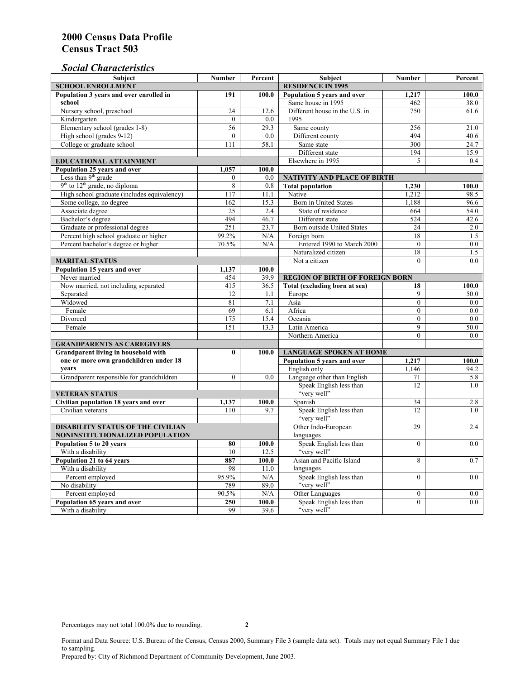## *Social Characteristics*

| <b>Subject</b>                                                   | <b>Number</b>            | Percent                        | Subject                                | <b>Number</b>  | Percent |
|------------------------------------------------------------------|--------------------------|--------------------------------|----------------------------------------|----------------|---------|
| <b>SCHOOL ENROLLMENT</b>                                         | <b>RESIDENCE IN 1995</b> |                                |                                        |                |         |
| Population 3 years and over enrolled in                          | 191                      | 100.0                          | Population 5 years and over            | 1,217          | 100.0   |
| school                                                           |                          |                                | Same house in 1995                     | 462            | 38.0    |
| Nursery school, preschool                                        | 24                       | 12.6                           | Different house in the U.S. in         | 750            | 61.6    |
| Kindergarten                                                     | $\theta$                 | 0.0                            | 1995                                   |                |         |
| Elementary school (grades 1-8)                                   | 56                       | 29.3                           | Same county                            | 256            | 21.0    |
| High school (grades 9-12)                                        | $\theta$                 | 0.0                            | Different county                       | 494            | 40.6    |
| College or graduate school                                       | 111                      | 58.1                           | Same state                             | 300            | 24.7    |
|                                                                  |                          |                                | Different state                        | 194            | 15.9    |
| <b>EDUCATIONAL ATTAINMENT</b>                                    | Elsewhere in 1995        | 5                              | $0.4^{\circ}$                          |                |         |
| Population 25 years and over                                     | 1.057                    | 100.0                          |                                        |                |         |
| Less than 9 <sup>th</sup> grade                                  | $\theta$                 | 0.0                            | NATIVITY AND PLACE OF BIRTH            |                |         |
| $9th$ to $12th$ grade, no diploma                                | $\overline{8}$           | 0.8                            | <b>Total population</b>                | 1,230          | 100.0   |
| High school graduate (includes equivalency)                      | 117                      | 11.1                           | Native                                 | 1.212          | 98.5    |
| Some college, no degree                                          | 162                      | 15.3                           | Born in United States                  | 1,188          | 96.6    |
| Associate degree                                                 | $\overline{25}$          | 2.4                            | State of residence                     | 664            | 54.0    |
| Bachelor's degree                                                | 494                      | 46.7                           | Different state                        | 524            | 42.6    |
| Graduate or professional degree                                  | 251                      | 23.7                           | <b>Born outside United States</b>      | 24             | 2.0     |
| Percent high school graduate or higher                           | 99.2%                    | N/A                            | Foreign born                           | 18             | 1.5     |
| Percent bachelor's degree or higher                              | 70.5%                    | N/A                            | Entered 1990 to March 2000             | $\mathbf{0}$   | $0.0\,$ |
|                                                                  |                          |                                | Naturalized citizen                    | 18             | 1.5     |
| <b>MARITAL STATUS</b>                                            |                          | Not a citizen                  | $\Omega$                               | 0.0            |         |
| Population 15 years and over                                     | 1,137                    | 100.0                          |                                        |                |         |
| Never married                                                    | 454                      | 39.9                           | <b>REGION OF BIRTH OF FOREIGN BORN</b> |                |         |
| Now married, not including separated                             | 415                      | 36.5                           | Total (excluding born at sea)          | 18             | 100.0   |
| Separated                                                        | 12                       | 1.1                            | Europe                                 | 9              | 50.0    |
| Widowed                                                          | 81                       | 7.1                            | Asia                                   | $\theta$       | 0.0     |
| Female                                                           | 69                       | 6.1                            | Africa                                 | $\Omega$       | $0.0\,$ |
| Divorced                                                         | 175                      | 15.4                           | Oceania                                | $\mathbf{0}$   | 0.0     |
| Female                                                           | 151                      | 13.3                           | Latin America                          | 9              | 50.0    |
|                                                                  |                          |                                | Northern America                       | $\theta$       | 0.0     |
| <b>GRANDPARENTS AS CAREGIVERS</b>                                |                          |                                |                                        |                |         |
| <b>Grandparent living in household with</b><br>$\bf{0}$<br>100.0 |                          | <b>LANGUAGE SPOKEN AT HOME</b> |                                        |                |         |
| one or more own grandchildren under 18                           |                          |                                | Population 5 years and over            | 1,217          | 100.0   |
| years                                                            |                          |                                | English only                           | 1,146          | 94.2    |
| Grandparent responsible for grandchildren                        | $\mathbf{0}$             | 0.0                            | Language other than English            | 71             | 5.8     |
|                                                                  |                          |                                | Speak English less than                | 12             | 1.0     |
| <b>VETERAN STATUS</b>                                            |                          |                                | "very well"                            |                |         |
| Civilian population 18 years and over                            | 1,137                    | 100.0                          | Spanish                                | 34             | 2.8     |
| Civilian veterans                                                | 110                      | 9.7                            | Speak English less than                | 12             | 1.0     |
|                                                                  |                          |                                | "very well"                            |                |         |
| <b>DISABILITY STATUS OF THE CIVILIAN</b>                         | Other Indo-European      | 29                             | 2.4                                    |                |         |
| NONINSTITUTIONALIZED POPULATION                                  | languages                |                                |                                        |                |         |
| Population 5 to 20 years                                         | 80                       | 100.0                          | Speak English less than                | $\theta$       | 0.0     |
| With a disability                                                | 10                       | 12.5                           | "very well"                            |                |         |
| Population 21 to 64 years                                        | 887                      | 100.0                          | Asian and Pacific Island               | 8              | 0.7     |
| With a disability                                                | 98                       | 11.0                           | languages                              |                |         |
| Percent employed                                                 | 95.9%                    | N/A                            | Speak English less than<br>"very well" | $\overline{0}$ | 0.0     |
| No disability                                                    | 789                      | 89.0                           | Other Languages                        |                |         |
| Percent employed                                                 | 90.5%                    | N/A                            |                                        | $\mathbf{0}$   | $0.0\,$ |
| Population 65 years and over                                     | 250<br>99                | 100.0                          | Speak English less than<br>"very well" | $\overline{0}$ | 0.0     |
| With a disability                                                |                          | 39.6                           |                                        |                |         |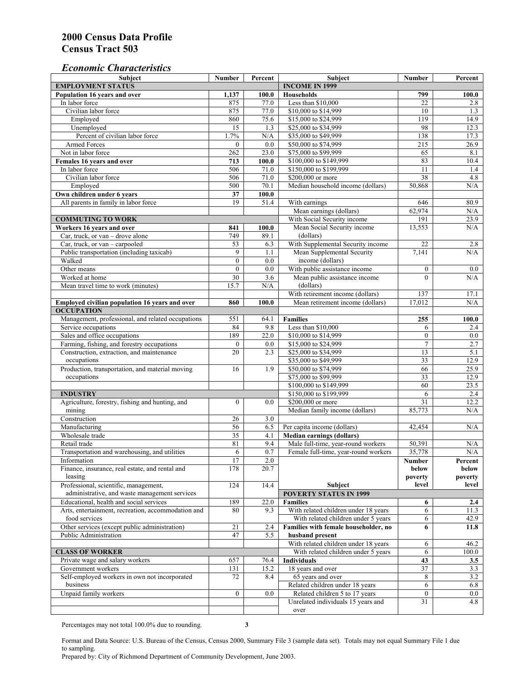#### *Economic Characteristics*

| Subject                                                        | <b>Number</b>    | Percent                             | Subject                              | <b>Number</b>    | Percent          |
|----------------------------------------------------------------|------------------|-------------------------------------|--------------------------------------|------------------|------------------|
| <b>EMPLOYMENT STATUS</b>                                       |                  |                                     | <b>INCOME IN 1999</b>                |                  |                  |
| Population 16 years and over                                   | 1,137            | 100.0                               | <b>Households</b>                    | 799              | 100.0            |
| In labor force                                                 | 875              | 77.0                                | Less than \$10,000                   | 22               | 2.8              |
| Civilian labor force                                           | 875              | 77.0                                | \$10,000 to \$14,999                 | 10               | 1.3              |
| Employed                                                       | 860              | 75.6                                | \$15,000 to \$24,999                 | 119              | 14.9             |
| Unemployed                                                     | $\overline{15}$  | 1.3                                 | \$25,000 to \$34,999                 | 98               | 12.3             |
| Percent of civilian labor force                                | 1.7%             | N/A                                 | \$35,000 to \$49,999                 | 138              | 17.3             |
| <b>Armed Forces</b>                                            | $\mathbf{0}$     | 0.0                                 | \$50,000 to \$74,999                 | 215              | 26.9             |
| Not in labor force                                             | 262              | 23.0                                | \$75,000 to \$99,999                 | 65               | 8.1              |
| Females 16 years and over                                      | 713              | 100.0                               | \$100,000 to \$149,999               | 83               | 10.4             |
| In labor force<br>Civilian labor force                         | 506              | 71.0                                | \$150,000 to \$199,999               | 11               | 1.4              |
|                                                                | 506              | 71.0                                | \$200,000 or more                    | 38               | 4.8              |
| Employed<br>Own children under 6 years                         | 500<br>37        | 70.1<br>100.0                       | Median household income (dollars)    | 50,868           | N/A              |
| All parents in family in labor force                           | 19               | 51.4                                | With earnings                        | 646              | 80.9             |
|                                                                |                  |                                     | Mean earnings (dollars)              | 62,974           | N/A              |
| <b>COMMUTING TO WORK</b>                                       |                  |                                     | With Social Security income          | 191              | 23.9             |
| Workers 16 years and over                                      | 841              | 100.0                               | Mean Social Security income          | 13,553           | N/A              |
| Car, truck, or van – drove alone                               | 749              | 89.1                                | (dollars)                            |                  |                  |
| Car, truck, or van - carpooled                                 | 53               | 6.3                                 | With Supplemental Security income    | 22               | 2.8              |
| Public transportation (including taxicab)                      | 9                | 1.1                                 | Mean Supplemental Security           | 7,141            | N/A              |
| Walked                                                         | $\boldsymbol{0}$ | 0.0                                 | income (dollars)                     |                  |                  |
| Other means                                                    | $\mathbf{0}$     | 0.0                                 | With public assistance income        | $\boldsymbol{0}$ | $0.0\,$          |
| Worked at home                                                 | 30               | 3.6                                 | Mean public assistance income        | $\theta$         | N/A              |
| Mean travel time to work (minutes)                             | 15.7             | N/A                                 | (dollars)                            |                  |                  |
|                                                                |                  |                                     | With retirement income (dollars)     | 137              | 17.1             |
| Employed civilian population 16 years and over                 | 860              | 100.0                               | Mean retirement income (dollars)     | 17,012           | N/A              |
| <b>OCCUPATION</b>                                              |                  |                                     |                                      |                  |                  |
| Management, professional, and related occupations              | 551              | 64.1                                | <b>Families</b>                      | 255              | 100.0            |
| Service occupations                                            | 84               | 9.8                                 | Less than \$10,000                   | 6                | 2.4              |
| Sales and office occupations                                   | 189              | 22.0                                | \$10,000 to \$14,999                 | $\boldsymbol{0}$ | $0.0\,$          |
| Farming, fishing, and forestry occupations                     | $\boldsymbol{0}$ | 0.0                                 | \$15,000 to \$24,999                 | $\overline{7}$   | 2.7              |
| Construction, extraction, and maintenance                      | 20               | 2.3                                 | \$25,000 to \$34,999                 | 13               | 5.1              |
| occupations                                                    |                  |                                     | \$35,000 to \$49,999                 | $\overline{33}$  | 12.9             |
| Production, transportation, and material moving                | 16               | 1.9                                 | \$50,000 to \$74,999                 | 66               | 25.9             |
| occupations                                                    |                  |                                     | \$75,000 to \$99,999                 | 33               | 12.9             |
|                                                                |                  |                                     | \$100,000 to \$149,999               | 60               | 23.5             |
| <b>INDUSTRY</b>                                                |                  |                                     | \$150,000 to \$199,999               | 6                | 2.4              |
| Agriculture, forestry, fishing and hunting, and                | $\boldsymbol{0}$ | 0.0                                 | \$200,000 or more                    | 31               | 12.2             |
| mining                                                         |                  |                                     | Median family income (dollars)       | 85,773           | N/A              |
| Construction                                                   | 26               | 3.0                                 |                                      |                  |                  |
| Manufacturing                                                  | 56               | 6.5                                 | Per capita income (dollars)          | 42,454           | N/A              |
| Wholesale trade                                                | 35               | 4.1                                 | <b>Median earnings (dollars)</b>     |                  |                  |
| Retail trade                                                   | 81               | 9.4                                 | Male full-time, year-round workers   | 50,391           | N/A              |
| Transportation and warehousing, and utilities                  | 6                | 0.7                                 | Female full-time, year-round workers | 35,778           | N/A              |
| Information<br>Finance, insurance, real estate, and rental and | 17<br>178        | 2.0<br>20.7                         |                                      | Number           | Percent          |
| leasing                                                        |                  |                                     |                                      | below<br>poverty | below<br>poverty |
| Professional, scientific, management,                          | 124              | 14.4                                | Subject                              | level            | level            |
| administrative, and waste management services                  |                  |                                     | <b>POVERTY STATUS IN 1999</b>        |                  |                  |
| Educational, health and social services                        | 189              | 22.0                                | <b>Families</b>                      | 6                | 2.4              |
| Arts, entertainment, recreation, accommodation and             | 80               | 9.3                                 | With related children under 18 years | 6                | 11.3             |
| food services                                                  |                  |                                     | With related children under 5 years  | 6                | 42.9             |
| Other services (except public administration)                  | 21               | 2.4                                 | Families with female householder, no | 6                | 11.8             |
| Public Administration                                          | 47               | 5.5                                 | husband present                      |                  |                  |
|                                                                |                  |                                     | With related children under 18 years | 6                | 46.2             |
| <b>CLASS OF WORKER</b>                                         |                  | With related children under 5 years | 6                                    | 100.0            |                  |
| Private wage and salary workers                                | 657              | 76.4                                | <b>Individuals</b>                   | 43               | 3.5              |
| Government workers                                             | 131              | 15.2                                | 18 years and over                    | 37               | 3.3              |
| Self-employed workers in own not incorporated                  | 72               | 8.4                                 | 65 years and over                    | 8                | 3.2              |
| business                                                       |                  |                                     | Related children under 18 years      | 6                | 6.8              |
| Unpaid family workers                                          | $\overline{0}$   | 0.0                                 | Related children 5 to 17 years       | $\overline{0}$   | $0.0\,$          |
|                                                                |                  |                                     | Unrelated individuals 15 years and   | 31               | 4.8              |
|                                                                |                  |                                     | over                                 |                  |                  |

Percentages may not total 100.0% due to rounding. **3** 

Format and Data Source: U.S. Bureau of the Census, Census 2000, Summary File 3 (sample data set). Totals may not equal Summary File 1 due to sampling.

Prepared by: City of Richmond Department of Community Development, June 2003.